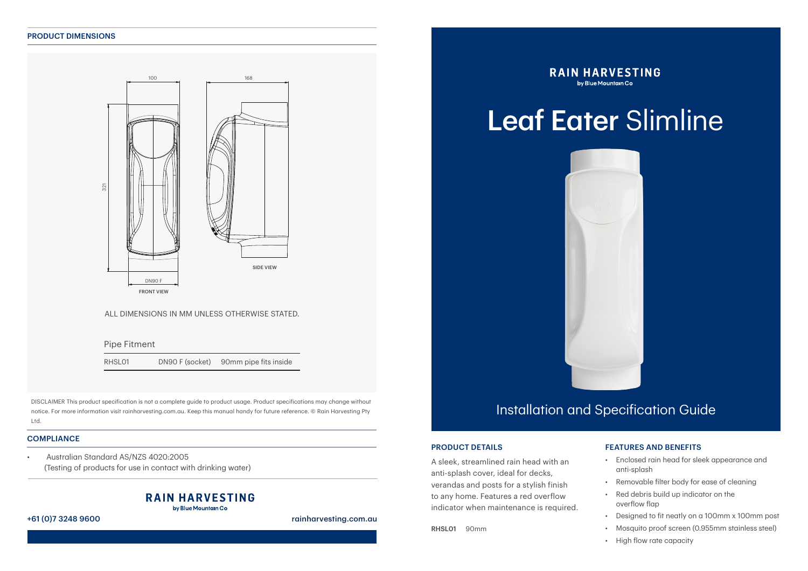#### PRODUCT DIMENSIONS



#### ALL DIMENSIONS IN MM UNLESS OTHERWISE STATED.

Pipe Fitment

RHSL01 DN90 F (socket) 90mm pipe fits inside

Overflow

DISCLAIMER This product specification is not a complete guide to product usage. Product specifications may change without notice. For more information visit rainharvesting.com.au. Keep this manual handy for future reference. © Rain Harvesting Pty Ltd.

#### **COMPLIANCE**

• Australian Standard AS/NZS 4020:2005 (Testing of products for use in contact with drinking water)

#### **RAIN HARVESTING** by Blue Mountain Co

#### +61 (0)7 3248 9600 rainharvesting.com.au

**RAIN HARVESTING** by Blue Mountain Co

# Leaf Eater Slimline



### Installation and Specification Guide

#### PRODUCT DETAILS

A sleek, streamlined rain head with an anti-splash cover, ideal for decks, verandas and posts for a stylish finish to any home. Features a red overflow indicator when maintenance is required.

RHSL01 90mm

### FEATURES AND BENEFITS

- Enclosed rain head for sleek appearance and anti-splash
- Removable filter body for ease of cleaning
- Red debris build up indicator on the overflow flap
- Designed to fit neatly on a 100mm x 100mm post
- Mosquito proof screen (0.955mm stainless steel)
- High flow rate capacity